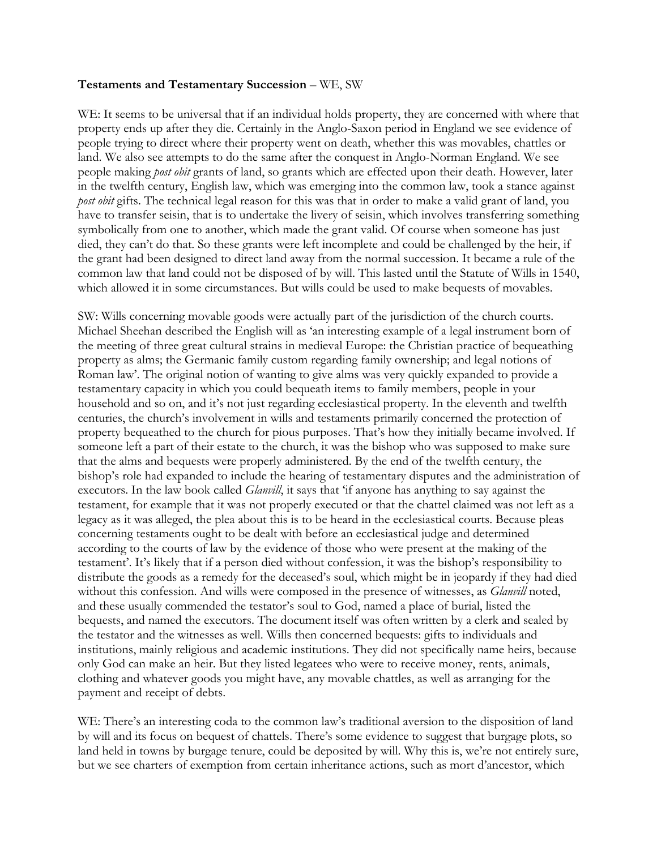## **Testaments and Testamentary Succession** – WE, SW

WE: It seems to be universal that if an individual holds property, they are concerned with where that property ends up after they die. Certainly in the Anglo-Saxon period in England we see evidence of people trying to direct where their property went on death, whether this was movables, chattles or land. We also see attempts to do the same after the conquest in Anglo-Norman England. We see people making *post obit* grants of land, so grants which are effected upon their death. However, later in the twelfth century, English law, which was emerging into the common law, took a stance against *post obit* gifts. The technical legal reason for this was that in order to make a valid grant of land, you have to transfer seisin, that is to undertake the livery of seisin, which involves transferring something symbolically from one to another, which made the grant valid. Of course when someone has just died, they can't do that. So these grants were left incomplete and could be challenged by the heir, if the grant had been designed to direct land away from the normal succession. It became a rule of the common law that land could not be disposed of by will. This lasted until the Statute of Wills in 1540, which allowed it in some circumstances. But wills could be used to make bequests of movables.

SW: Wills concerning movable goods were actually part of the jurisdiction of the church courts. Michael Sheehan described the English will as 'an interesting example of a legal instrument born of the meeting of three great cultural strains in medieval Europe: the Christian practice of bequeathing property as alms; the Germanic family custom regarding family ownership; and legal notions of Roman law'. The original notion of wanting to give alms was very quickly expanded to provide a testamentary capacity in which you could bequeath items to family members, people in your household and so on, and it's not just regarding ecclesiastical property. In the eleventh and twelfth centuries, the church's involvement in wills and testaments primarily concerned the protection of property bequeathed to the church for pious purposes. That's how they initially became involved. If someone left a part of their estate to the church, it was the bishop who was supposed to make sure that the alms and bequests were properly administered. By the end of the twelfth century, the bishop's role had expanded to include the hearing of testamentary disputes and the administration of executors. In the law book called *Glanvill*, it says that 'if anyone has anything to say against the testament, for example that it was not properly executed or that the chattel claimed was not left as a legacy as it was alleged, the plea about this is to be heard in the ecclesiastical courts. Because pleas concerning testaments ought to be dealt with before an ecclesiastical judge and determined according to the courts of law by the evidence of those who were present at the making of the testament'. It's likely that if a person died without confession, it was the bishop's responsibility to distribute the goods as a remedy for the deceased's soul, which might be in jeopardy if they had died without this confession. And wills were composed in the presence of witnesses, as *Glanvill* noted, and these usually commended the testator's soul to God, named a place of burial, listed the bequests, and named the executors. The document itself was often written by a clerk and sealed by the testator and the witnesses as well. Wills then concerned bequests: gifts to individuals and institutions, mainly religious and academic institutions. They did not specifically name heirs, because only God can make an heir. But they listed legatees who were to receive money, rents, animals, clothing and whatever goods you might have, any movable chattles, as well as arranging for the payment and receipt of debts.

WE: There's an interesting coda to the common law's traditional aversion to the disposition of land by will and its focus on bequest of chattels. There's some evidence to suggest that burgage plots, so land held in towns by burgage tenure, could be deposited by will. Why this is, we're not entirely sure, but we see charters of exemption from certain inheritance actions, such as mort d'ancestor, which